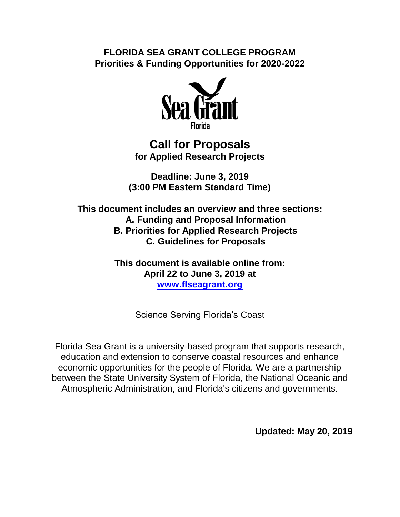**FLORIDA SEA GRANT COLLEGE PROGRAM Priorities & Funding Opportunities for 2020-2022**



## **Call for Proposals for Applied Research Projects**

**Deadline: June 3, 2019 (3:00 PM Eastern Standard Time)**

**This document includes an overview and three sections: A. Funding and Proposal Information B. Priorities for Applied Research Projects C. Guidelines for Proposals**

> **This document is available online from: April 22 to June 3, 2019 at [www.flseagrant.org](http://www.flseagrant.org/)**

> > Science Serving Florida's Coast

Florida Sea Grant is a university-based program that supports research, education and extension to conserve coastal resources and enhance economic opportunities for the people of Florida. We are a partnership between the State University System of Florida, the National Oceanic and Atmospheric Administration, and Florida's citizens and governments.

**Updated: May 20, 2019**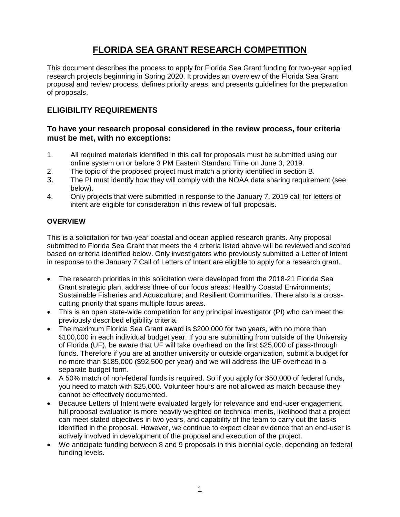## **FLORIDA SEA GRANT RESEARCH COMPETITION**

This document describes the process to apply for Florida Sea Grant funding for two-year applied research projects beginning in Spring 2020. It provides an overview of the Florida Sea Grant proposal and review process, defines priority areas, and presents guidelines for the preparation of proposals.

## **ELIGIBILITY REQUIREMENTS**

## **To have your research proposal considered in the review process, four criteria must be met, with no exceptions:**

- 1. All required materials identified in this call for proposals must be submitted using our online system on or before 3 PM Eastern Standard Time on June 3, 2019.
- 2. The topic of the proposed project must match a priority identified in section B.
- 3. The PI must identify how they will comply with the NOAA data sharing requirement (see below).
- 4. Only projects that were submitted in response to the January 7, 2019 call for letters of intent are eligible for consideration in this review of full proposals.

## **OVERVIEW**

This is a solicitation for two-year coastal and ocean applied research grants. Any proposal submitted to Florida Sea Grant that meets the 4 criteria listed above will be reviewed and scored based on criteria identified below. Only investigators who previously submitted a Letter of Intent in response to the January 7 Call of Letters of Intent are eligible to apply for a research grant.

- The research priorities in this solicitation were developed from the 2018-21 Florida Sea Grant strategic plan, address three of our focus areas: Healthy Coastal Environments; Sustainable Fisheries and Aquaculture; and Resilient Communities. There also is a crosscutting priority that spans multiple focus areas.
- This is an open state-wide competition for any principal investigator (PI) who can meet the previously described eligibility criteria.
- The maximum Florida Sea Grant award is \$200,000 for two years, with no more than \$100,000 in each individual budget year. If you are submitting from outside of the University of Florida (UF), be aware that UF will take overhead on the first \$25,000 of pass-through funds. Therefore if you are at another university or outside organization, submit a budget for no more than \$185,000 (\$92,500 per year) and we will address the UF overhead in a separate budget form.
- A 50% match of non-federal funds is required. So if you apply for \$50,000 of federal funds, you need to match with \$25,000. Volunteer hours are not allowed as match because they cannot be effectively documented.
- Because Letters of Intent were evaluated largely for relevance and end-user engagement, full proposal evaluation is more heavily weighted on technical merits, likelihood that a project can meet stated objectives in two years, and capability of the team to carry out the tasks identified in the proposal. However, we continue to expect clear evidence that an end-user is actively involved in development of the proposal and execution of the project.
- We anticipate funding between 8 and 9 proposals in this biennial cycle, depending on federal funding levels.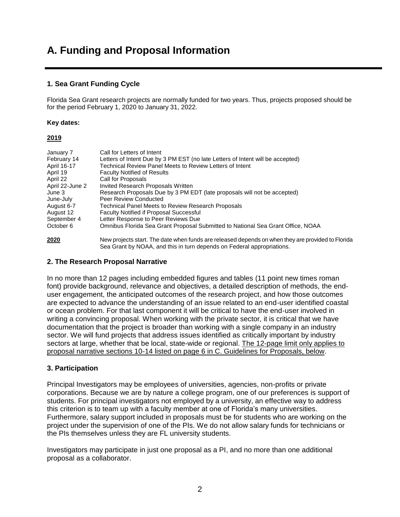# **A. Funding and Proposal Information**

## **1. Sea Grant Funding Cycle**

Florida Sea Grant research projects are normally funded for two years. Thus, projects proposed should be for the period February 1, 2020 to January 31, 2022.

#### **Key dates:**

#### **2019**

| January 7       | Call for Letters of Intent                                                                        |
|-----------------|---------------------------------------------------------------------------------------------------|
| February 14     | Letters of Intent Due by 3 PM EST (no late Letters of Intent will be accepted)                    |
| April 16-17     | Technical Review Panel Meets to Review Letters of Intent                                          |
| April 19        | <b>Faculty Notified of Results</b>                                                                |
| April 22        | Call for Proposals                                                                                |
| April 22-June 2 | Invited Research Proposals Written                                                                |
| June 3          | Research Proposals Due by 3 PM EDT (late proposals will not be accepted)                          |
| June-July       | Peer Review Conducted                                                                             |
| August 6-7      | Technical Panel Meets to Review Research Proposals                                                |
| August 12       | <b>Faculty Notified if Proposal Successful</b>                                                    |
| September 4     | Letter Response to Peer Reviews Due                                                               |
| October 6       | Omnibus Florida Sea Grant Proposal Submitted to National Sea Grant Office, NOAA                   |
| 2020            | New projects start. The date when funds are released depends on when they are provided to Florida |

Sea Grant by NOAA, and this in turn depends on Federal appropriations.

#### **2. The Research Proposal Narrative**

In no more than 12 pages including embedded figures and tables (11 point new times roman font) provide background, relevance and objectives, a detailed description of methods, the enduser engagement, the anticipated outcomes of the research project, and how those outcomes are expected to advance the understanding of an issue related to an end-user identified coastal or ocean problem. For that last component it will be critical to have the end-user involved in writing a convincing proposal. When working with the private sector, it is critical that we have documentation that the project is broader than working with a single company in an industry sector. We will fund projects that address issues identified as critically important by industry sectors at large, whether that be local, state-wide or regional. The 12-page limit only applies to proposal narrative sections 10-14 listed on page 6 in C. Guidelines for Proposals, below.

#### **3. Participation**

Principal Investigators may be employees of universities, agencies, non-profits or private corporations. Because we are by nature a college program, one of our preferences is support of students. For principal investigators not employed by a university, an effective way to address this criterion is to team up with a faculty member at one of Florida's many universities. Furthermore, salary support included in proposals must be for students who are working on the project under the supervision of one of the PIs. We do not allow salary funds for technicians or the PIs themselves unless they are FL university students.

Investigators may participate in just one proposal as a PI, and no more than one additional proposal as a collaborator.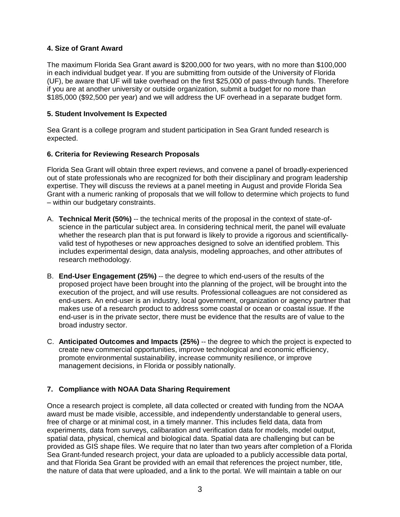## **4. Size of Grant Award**

The maximum Florida Sea Grant award is \$200,000 for two years, with no more than \$100,000 in each individual budget year. If you are submitting from outside of the University of Florida (UF), be aware that UF will take overhead on the first \$25,000 of pass-through funds. Therefore if you are at another university or outside organization, submit a budget for no more than \$185,000 (\$92,500 per year) and we will address the UF overhead in a separate budget form.

## **5. Student Involvement Is Expected**

Sea Grant is a college program and student participation in Sea Grant funded research is expected.

## **6. Criteria for Reviewing Research Proposals**

Florida Sea Grant will obtain three expert reviews, and convene a panel of broadly-experienced out of state professionals who are recognized for both their disciplinary and program leadership expertise. They will discuss the reviews at a panel meeting in August and provide Florida Sea Grant with a numeric ranking of proposals that we will follow to determine which projects to fund – within our budgetary constraints.

- A. **Technical Merit (50%)** -- the technical merits of the proposal in the context of state-ofscience in the particular subject area. In considering technical merit, the panel will evaluate whether the research plan that is put forward is likely to provide a rigorous and scientificallyvalid test of hypotheses or new approaches designed to solve an identified problem. This includes experimental design, data analysis, modeling approaches, and other attributes of research methodology.
- B. **End-User Engagement (25%)** -- the degree to which end-users of the results of the proposed project have been brought into the planning of the project, will be brought into the execution of the project, and will use results. Professional colleagues are not considered as end-users. An end-user is an industry, local government, organization or agency partner that makes use of a research product to address some coastal or ocean or coastal issue. If the end-user is in the private sector, there must be evidence that the results are of value to the broad industry sector.
- C. **Anticipated Outcomes and Impacts (25%)** -- the degree to which the project is expected to create new commercial opportunities, improve technological and economic efficiency, promote environmental sustainability, increase community resilience, or improve management decisions, in Florida or possibly nationally.

## **7. Compliance with NOAA Data Sharing Requirement**

Once a research project is complete, all data collected or created with funding from the NOAA award must be made visible, accessible, and independently understandable to general users, free of charge or at minimal cost, in a timely manner. This includes field data, data from experiments, data from surveys, calibaration and verification data for models, model output, spatial data, physical, chemical and biological data. Spatial data are challenging but can be provided as GIS shape files. We require that no later than two years after completion of a Florida Sea Grant-funded research project, your data are uploaded to a publicly accessible data portal, and that Florida Sea Grant be provided with an email that references the project number, title, the nature of data that were uploaded, and a link to the portal. We will maintain a table on our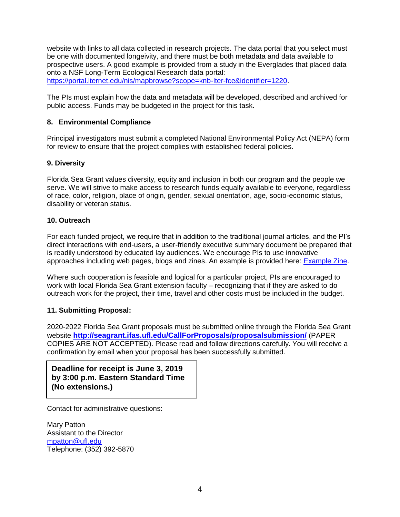website with links to all data collected in research projects. The data portal that you select must be one with documented longeivity, and there must be both metadata and data available to prospective users. A good example is provided from a study in the Everglades that placed data onto a NSF Long-Term Ecological Research data portal:

[https://portal.lternet.edu/nis/mapbrowse?scope=knb-lter-fce&identifier=1220.](https://portal.lternet.edu/nis/mapbrowse?scope=knb-lter-fce&identifier=1220)

The PIs must explain how the data and metadata will be developed, described and archived for public access. Funds may be budgeted in the project for this task.

### **8. Environmental Compliance**

Principal investigators must submit a completed National Environmental Policy Act (NEPA) form for review to ensure that the project complies with established federal policies.

#### **9. Diversity**

Florida Sea Grant values diversity, equity and inclusion in both our program and the people we serve. We will strive to make access to research funds equally available to everyone, regardless of race, color, religion, place of origin, gender, sexual orientation, age, socio-economic status, disability or veteran status.

### **10. Outreach**

For each funded project, we require that in addition to the traditional journal articles, and the PI's direct interactions with end-users, a user-friendly executive summary document be prepared that is readily understood by educated lay audiences. We encourage PIs to use innovative approaches including web pages, blogs and zines. An example is provided here: **Example Zine**.

Where such cooperation is feasible and logical for a particular project, PIs are encouraged to work with local Florida Sea Grant extension faculty – recognizing that if they are asked to do outreach work for the project, their time, travel and other costs must be included in the budget.

#### **11. Submitting Proposal:**

2020-2022 Florida Sea Grant proposals must be submitted online through the Florida Sea Grant website **<http://seagrant.ifas.ufl.edu/CallForProposals/proposalsubmission/>** (PAPER COPIES ARE NOT ACCEPTED). Please read and follow directions carefully. You will receive a confirmation by email when your proposal has been successfully submitted.

**9. For Additional Information: (No extensions.)Deadline for receipt is June 3, 2019 by 3:00 p.m. Eastern Standard Time** 

Contact for administrative questions:

Mary Patton Assistant to the Director [mpatton@ufl.edu](mailto:mpatton@ufl.edu) Telephone: (352) 392-5870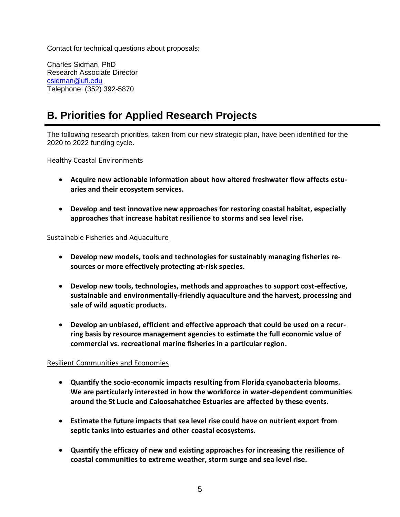Contact for technical questions about proposals:

Charles Sidman, PhD Research Associate Director [csidman@ufl.edu](mailto:csidman@ufl.edu) Telephone: (352) 392-5870

# **B. Priorities for Applied Research Projects**

The following research priorities, taken from our new strategic plan, have been identified for the 2020 to 2022 funding cycle.

Healthy Coastal Environments

- **Acquire new actionable information about how altered freshwater flow affects estuaries and their ecosystem services.**
- **Develop and test innovative new approaches for restoring coastal habitat, especially approaches that increase habitat resilience to storms and sea level rise.**

### Sustainable Fisheries and Aquaculture

- **Develop new models, tools and technologies for sustainably managing fisheries resources or more effectively protecting at-risk species.**
- **Develop new tools, technologies, methods and approaches to support cost-effective, sustainable and environmentally-friendly aquaculture and the harvest, processing and sale of wild aquatic products.**
- **Develop an unbiased, efficient and effective approach that could be used on a recurring basis by resource management agencies to estimate the full economic value of commercial vs. recreational marine fisheries in a particular region.**

## Resilient Communities and Economies

- **Quantify the socio-economic impacts resulting from Florida cyanobacteria blooms. We are particularly interested in how the workforce in water-dependent communities around the St Lucie and Caloosahatchee Estuaries are affected by these events.**
- **Estimate the future impacts that sea level rise could have on nutrient export from septic tanks into estuaries and other coastal ecosystems.**
- **Quantify the efficacy of new and existing approaches for increasing the resilience of coastal communities to extreme weather, storm surge and sea level rise.**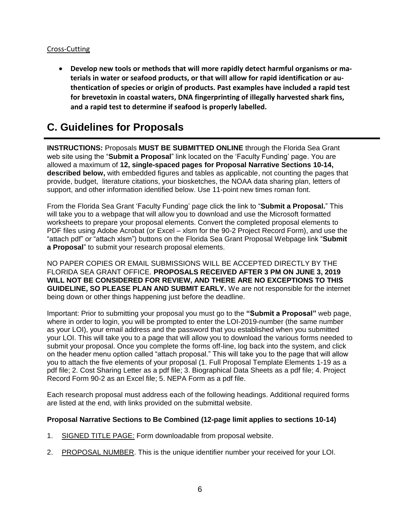## Cross-Cutting

 **Develop new tools or methods that will more rapidly detect harmful organisms or materials in water or seafood products, or that will allow for rapid identification or authentication of species or origin of products. Past examples have included a rapid test for brevetoxin in coastal waters, DNA fingerprinting of illegally harvested shark fins, and a rapid test to determine if seafood is properly labelled.**

## **C. Guidelines for Proposals**

**INSTRUCTIONS:** Proposals **MUST BE SUBMITTED ONLINE** through the Florida Sea Grant web site using the "**Submit a Proposal**" link located on the 'Faculty Funding' page. You are allowed a maximum of **12, single-spaced pages for Proposal Narrative Sections 10-14, described below,** with embedded figures and tables as applicable, not counting the pages that provide, budget, literature citations, your biosketches, the NOAA data sharing plan, letters of support, and other information identified below. Use 11-point new times roman font.

From the Florida Sea Grant 'Faculty Funding' page click the link to "**Submit a Proposal.**" This will take you to a webpage that will allow you to download and use the Microsoft formatted worksheets to prepare your proposal elements. Convert the completed proposal elements to PDF files using Adobe Acrobat (or Excel – xlsm for the 90-2 Project Record Form), and use the "attach pdf" or "attach xlsm") buttons on the Florida Sea Grant Proposal Webpage link "**Submit a Proposal**" to submit your research proposal elements.

NO PAPER COPIES OR EMAIL SUBMISSIONS WILL BE ACCEPTED DIRECTLY BY THE FLORIDA SEA GRANT OFFICE. **PROPOSALS RECEIVED AFTER 3 PM ON JUNE 3, 2019 WILL NOT BE CONSIDERED FOR REVIEW, AND THERE ARE NO EXCEPTIONS TO THIS GUIDELINE, SO PLEASE PLAN AND SUBMIT EARLY.** We are not responsible for the internet being down or other things happening just before the deadline.

Important: Prior to submitting your proposal you must go to the **"Submit a Proposal"** web page, where in order to login, you will be prompted to enter the LOI-2019-number (the same number as your LOI), your email address and the password that you established when you submitted your LOI. This will take you to a page that will allow you to download the various forms needed to submit your proposal. Once you complete the forms off-line, log back into the system, and click on the header menu option called "attach proposal." This will take you to the page that will allow you to attach the five elements of your proposal (1. Full Proposal Template Elements 1-19 as a pdf file; 2. Cost Sharing Letter as a pdf file; 3. Biographical Data Sheets as a pdf file; 4. Project Record Form 90-2 as an Excel file; 5. NEPA Form as a pdf file.

Each research proposal must address each of the following headings. Additional required forms are listed at the end, with links provided on the submittal website.

## **Proposal Narrative Sections to Be Combined (12-page limit applies to sections 10-14)**

- 1. SIGNED TITLE PAGE: Form downloadable from proposal website.
- 2. PROPOSAL NUMBER. This is the unique identifier number your received for your LOI.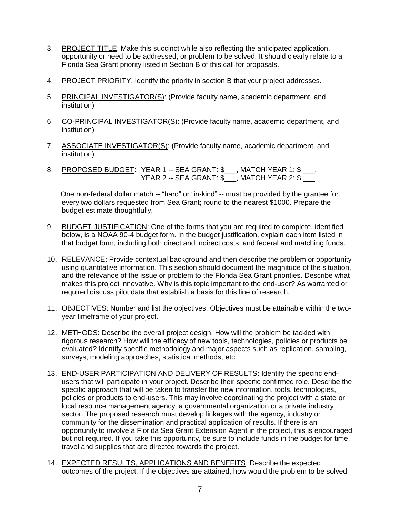- 3. PROJECT TITLE: Make this succinct while also reflecting the anticipated application, opportunity or need to be addressed, or problem to be solved. It should clearly relate to a Florida Sea Grant priority listed in Section B of this call for proposals.
- 4. PROJECT PRIORITY. Identify the priority in section B that your project addresses.
- 5. PRINCIPAL INVESTIGATOR(S): (Provide faculty name, academic department, and institution)
- 6. CO-PRINCIPAL INVESTIGATOR(S): (Provide faculty name, academic department, and institution)
- 7. ASSOCIATE INVESTIGATOR(S): (Provide faculty name, academic department, and institution)
- 8. <u>PROPOSED BUDGET</u>: YEAR 1 -- SEA GRANT: \$\_\_\_, MATCH YEAR 1: \$ \_\_\_. YEAR 2 -- SEA GRANT: \$\_\_\_, MATCH YEAR 2: \$ \_\_\_.

One non-federal dollar match -- "hard" or "in-kind" -- must be provided by the grantee for every two dollars requested from Sea Grant; round to the nearest \$1000. Prepare the budget estimate thoughtfully.

- 9. BUDGET JUSTIFICATION: One of the forms that you are required to complete, identified below, is a NOAA 90-4 budget form. In the budget justification, explain each item listed in that budget form, including both direct and indirect costs, and federal and matching funds.
- 10. RELEVANCE: Provide contextual background and then describe the problem or opportunity using quantitative information. This section should document the magnitude of the situation, and the relevance of the issue or problem to the Florida Sea Grant priorities. Describe what makes this project innovative. Why is this topic important to the end-user? As warranted or required discuss pilot data that establish a basis for this line of research.
- 11. OBJECTIVES: Number and list the objectives. Objectives must be attainable within the twoyear timeframe of your project.
- 12. METHODS: Describe the overall project design. How will the problem be tackled with rigorous research? How will the efficacy of new tools, technologies, policies or products be evaluated? Identify specific methodology and major aspects such as replication, sampling, surveys, modeling approaches, statistical methods, etc.
- 13. END-USER PARTICIPATION AND DELIVERY OF RESULTS: Identify the specific endusers that will participate in your project. Describe their specific confirmed role. Describe the specific approach that will be taken to transfer the new information, tools, technologies, policies or products to end-users. This may involve coordinating the project with a state or local resource management agency, a governmental organization or a private industry sector. The proposed research must develop linkages with the agency, industry or community for the dissemination and practical application of results. If there is an opportunity to involve a Florida Sea Grant Extension Agent in the project, this is encouraged but not required. If you take this opportunity, be sure to include funds in the budget for time, travel and supplies that are directed towards the project.
- 14. EXPECTED RESULTS, APPLICATIONS AND BENEFITS: Describe the expected outcomes of the project. If the objectives are attained, how would the problem to be solved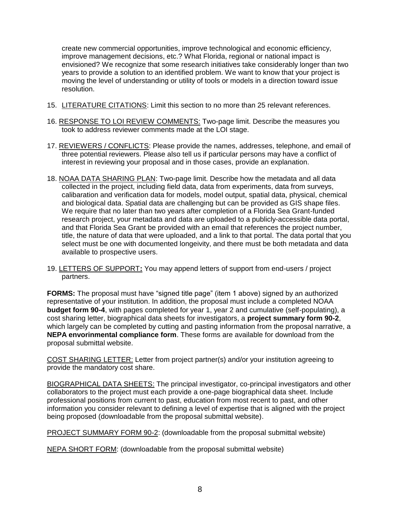create new commercial opportunities, improve technological and economic efficiency, improve management decisions, etc.? What Florida, regional or national impact is envisioned? We recognize that some research initiatives take considerably longer than two years to provide a solution to an identified problem. We want to know that your project is moving the level of understanding or utility of tools or models in a direction toward issue resolution.

- 15. LITERATURE CITATIONS: Limit this section to no more than 25 relevant references.
- 16. RESPONSE TO LOI REVIEW COMMENTS: Two-page limit. Describe the measures you took to address reviewer comments made at the LOI stage.
- 17. REVIEWERS / CONFLICTS: Please provide the names, addresses, telephone, and email of three potential reviewers. Please also tell us if particular persons may have a conflict of interest in reviewing your proposal and in those cases, provide an explanation.
- 18. NOAA DATA SHARING PLAN: Two-page limit. Describe how the metadata and all data collected in the project, including field data, data from experiments, data from surveys, calibaration and verification data for models, model output, spatial data, physical, chemical and biological data. Spatial data are challenging but can be provided as GIS shape files. We require that no later than two years after completion of a Florida Sea Grant-funded research project, your metadata and data are uploaded to a publicly-accessible data portal, and that Florida Sea Grant be provided with an email that references the project number, title, the nature of data that were uploaded, and a link to that portal. The data portal that you select must be one with documented longeivity, and there must be both metadata and data available to prospective users.
- 19. LETTERS OF SUPPORT**:** You may append letters of support from end-users / project partners.

**FORMS:** The proposal must have "signed title page" (item 1 above) signed by an authorized representative of your institution. In addition, the proposal must include a completed NOAA **budget form 90-4**, with pages completed for year 1, year 2 and cumulative (self-populating), a cost sharing letter, biographical data sheets for investigators, a **project summary form 90-2**, which largely can be completed by cutting and pasting information from the proposal narrative, a **NEPA envorinmental compliance form**. These forms are available for download from the proposal submittal website.

COST SHARING LETTER: Letter from project partner(s) and/or your institution agreeing to provide the mandatory cost share.

BIOGRAPHICAL DATA SHEETS: The principal investigator, co-principal investigators and other collaborators to the project must each provide a one-page biographical data sheet. Include professional positions from current to past, education from most recent to past, and other information you consider relevant to defining a level of expertise that is aligned with the project being proposed (downloadable from the proposal submittal website).

PROJECT SUMMARY FORM 90-2: (downloadable from the proposal submittal website)

NEPA SHORT FORM: (downloadable from the proposal submittal website)